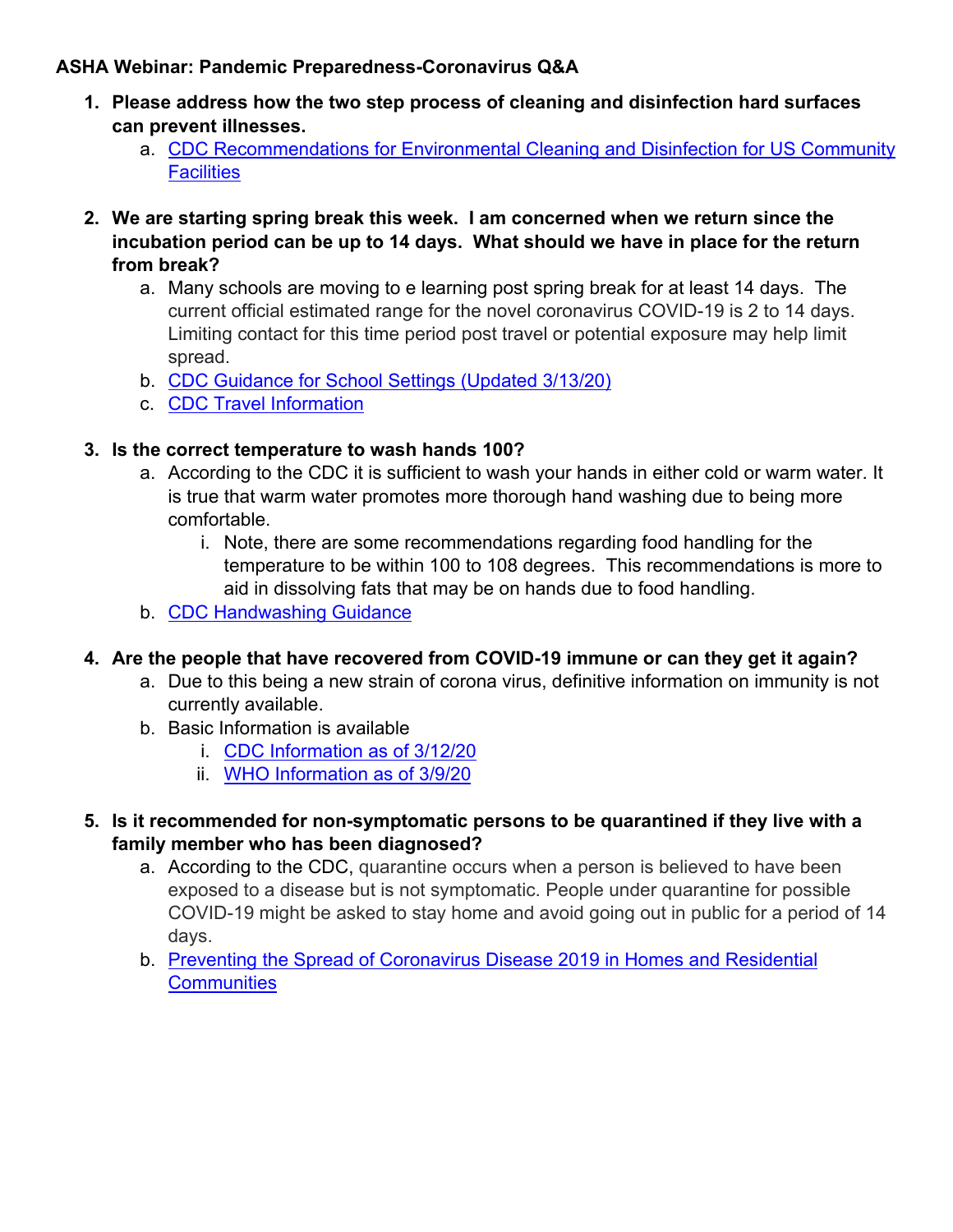## **ASHA Webinar: Pandemic Preparedness-Coronavirus Q&A**

- **1. Please address how the two step process of cleaning and disinfection hard surfaces can prevent illnesses.** 
	- a. CDC Recommendations for Environmental Cleaning and Disinfection for US Community **Facilities**
- **2. We are starting spring break this week. I am concerned when we return since the incubation period can be up to 14 days. What should we have in place for the return from break?** 
	- a. Many schools are moving to e learning post spring break for at least 14 days. The current official estimated range for the novel coronavirus COVID-19 is 2 to 14 days. Limiting contact for this time period post travel or potential exposure may help limit spread.
	- b. CDC Guidance for School Settings (Updated 3/13/20)
	- c. CDC Travel Information

## **3. Is the correct temperature to wash hands 100?**

- a. According to the CDC it is sufficient to wash your hands in either cold or warm water. It is true that warm water promotes more thorough hand washing due to being more comfortable.
	- i. Note, there are some recommendations regarding food handling for the temperature to be within 100 to 108 degrees. This recommendations is more to aid in dissolving fats that may be on hands due to food handling.
- b. CDC Handwashing Guidance

## **4. Are the people that have recovered from COVID-19 immune or can they get it again?**

- a. Due to this being a new strain of corona virus, definitive information on immunity is not currently available.
- b. Basic Information is available
	- i. CDC Information as of 3/12/20
	- ii. WHO Information as of 3/9/20
- **5. Is it recommended for non-symptomatic persons to be quarantined if they live with a family member who has been diagnosed?** 
	- a. According to the CDC, quarantine occurs when a person is believed to have been exposed to a disease but is not symptomatic. People under quarantine for possible COVID-19 might be asked to stay home and avoid going out in public for a period of 14 days.
	- b. Preventing the Spread of Coronavirus Disease 2019 in Homes and Residential **Communities**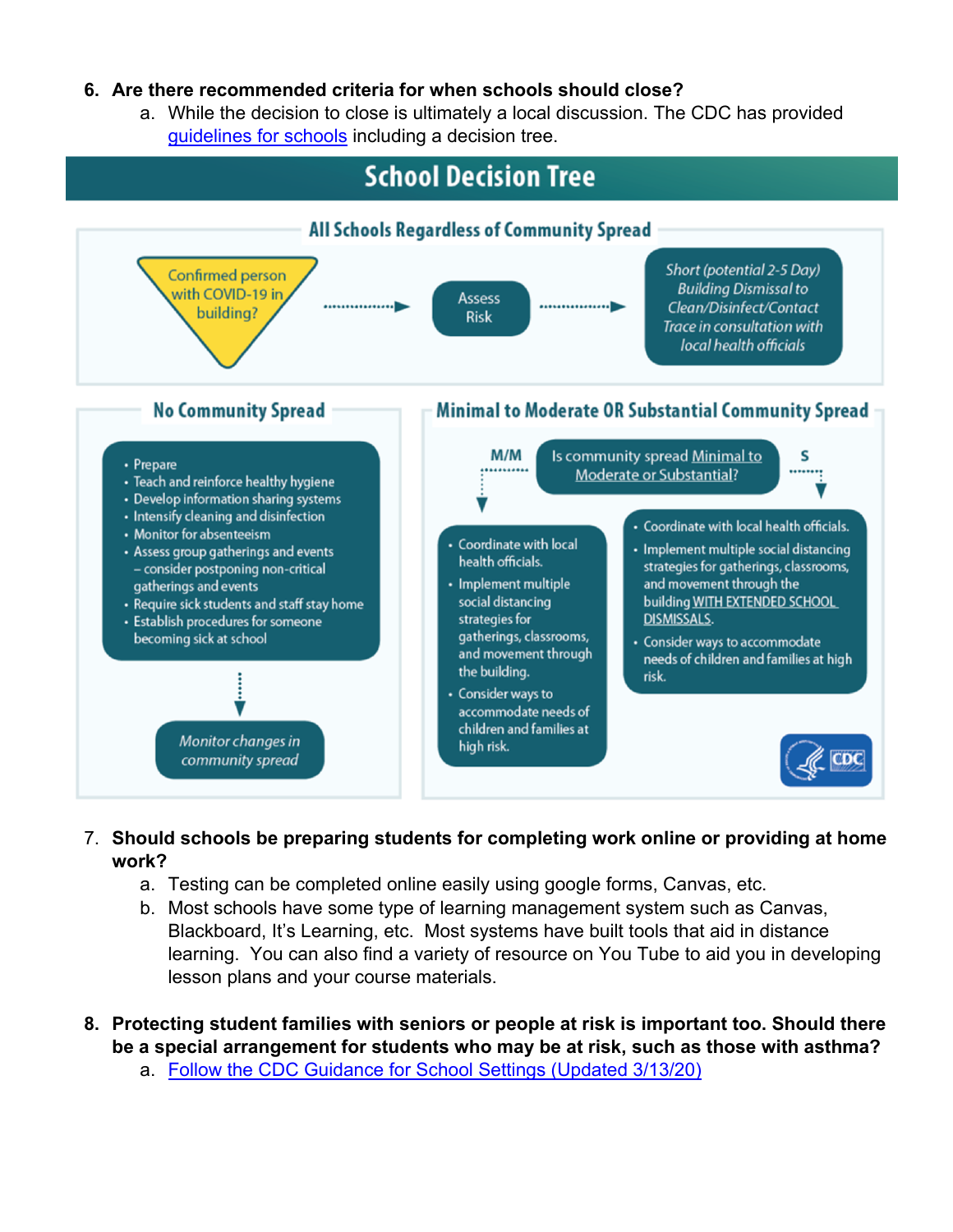## **6. Are there recommended criteria for when schools should close?**

a. While the decision to close is ultimately a local discussion. The CDC has provided guidelines for schools including a decision tree.



- 7. **Should schools be preparing students for completing work online or providing at home work?**
	- a. Testing can be completed online easily using google forms, Canvas, etc.
	- b. Most schools have some type of learning management system such as Canvas, Blackboard, It's Learning, etc. Most systems have built tools that aid in distance learning. You can also find a variety of resource on You Tube to aid you in developing lesson plans and your course materials.
- **8. Protecting student families with seniors or people at risk is important too. Should there be a special arrangement for students who may be at risk, such as those with asthma?** 
	- a. Follow the CDC Guidance for School Settings (Updated 3/13/20)